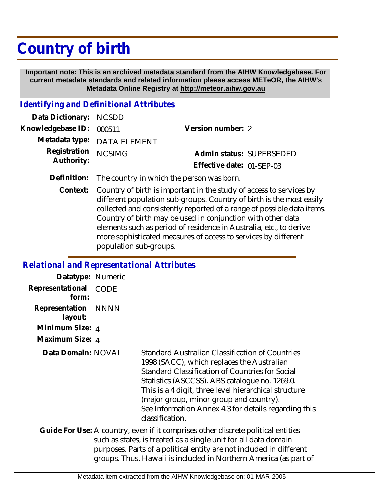# **Country of birth**

 **Important note: This is an archived metadata standard from the AIHW Knowledgebase. For current metadata standards and related information please access METeOR, the AIHW's Metadata Online Registry at http://meteor.aihw.gov.au**

### *Identifying and Definitional Attributes*

| Data Dictionary: NCSDD            |                             |                           |  |
|-----------------------------------|-----------------------------|---------------------------|--|
| Knowledgebase ID: 000511          |                             | Version number: 2         |  |
|                                   | Metadata type: DATA ELEMENT |                           |  |
| Registration NCSIMG<br>Authority: |                             | Admin status: SUPERSEDED  |  |
|                                   |                             | Effective date: 01-SEP-03 |  |
|                                   |                             |                           |  |

- **Definition:** The country in which the person was born.
	- Country of birth is important in the study of access to services by different population sub-groups. Country of birth is the most easily collected and consistently reported of a range of possible data items. Country of birth may be used in conjunction with other data elements such as period of residence in Australia, etc., to derive more sophisticated measures of access to services by different population sub-groups. **Context:**

#### *Relational and Representational Attributes*

| Datatype: Numeric         |             |                                                                                                                                                                                                                                                                                                                                                                                   |
|---------------------------|-------------|-----------------------------------------------------------------------------------------------------------------------------------------------------------------------------------------------------------------------------------------------------------------------------------------------------------------------------------------------------------------------------------|
| Representational<br>form: | <b>CODE</b> |                                                                                                                                                                                                                                                                                                                                                                                   |
| Representation<br>layout: | NNNN        |                                                                                                                                                                                                                                                                                                                                                                                   |
| Minimum Size: 4           |             |                                                                                                                                                                                                                                                                                                                                                                                   |
| Maximum Size: 4           |             |                                                                                                                                                                                                                                                                                                                                                                                   |
| Data Domain: NOVAL        |             | Standard Australian Classification of Countries<br>1998 (SACC), which replaces the Australian<br>Standard Classification of Countries for Social<br>Statistics (ASCCSS). ABS catalogue no. 1269.0.<br>This is a 4 digit, three level hierarchical structure<br>(major group, minor group and country).<br>See Information Annex 4.3 for details regarding this<br>classification. |
|                           |             | Guide For Use: A country, even if it comprises other discrete political entities<br>such as states, is treated as a single unit for all data domain<br>purposes. Parts of a political entity are not included in different<br>groups. Thus, Hawaii is included in Northern America (as part of                                                                                    |